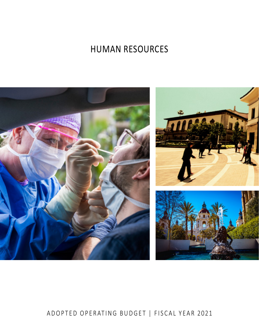# **HUMAN RESOURCES**



# ADOPTED OPERATING BUDGET | FISCAL YEAR 2021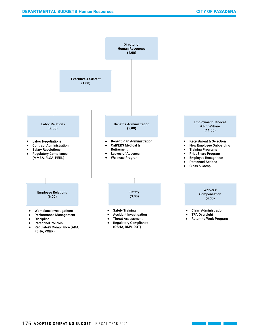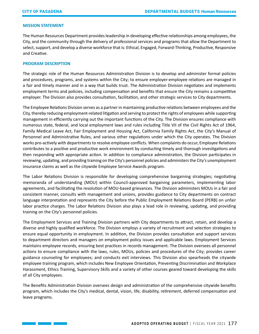#### **MISSION STATEMENT**

The Human Resources Department provides leadership in developing effective relationships among employees, the City, and the community through the delivery of professional services and programs that allow the Department to select, support, and develop a diverse workforce that is: Ethical, Engaged, Forward-Thinking, Productive, Responsive and Creative.

#### **PROGRAM DESCRIPTION**

<u> Tanzania de la provincia de la provincia de la provincia de la provincia de la provincia de la provincia de l</u>

The strategic role of the Human Resources Administration Division is to develop and administer formal policies and procedures, programs, and systems within the City; to ensure employer-employee relations are managed in a fair and timely manner and in a way that builds trust. The Administration Division negotiates and implements employment terms and policies, including compensation and benefits that ensure the City remains a competitive employer. The Division also provides consultation, facilitation, and other strategic services to City departments.

The Employee Relations Division serves as a partner in maintaining productive relations between employees and the City, thereby reducing employment-related litigation and serving to protect the rights of employees while supporting management in efficiently carrying out the important functions of the City. The Division ensures compliance with numerous state, federal, and local employment laws and rules including Title VII of the Civil Rights Act of 1964, Family Medical Leave Act, Fair Employment and Housing Act, California Family Rights Act, the City's Manual of Personnel and Administrative Rules, and various other regulations under which the City operates. The Division works pro-actively with departments to resolve employee conflicts. When complaints do occur, Employee Relations contributes to a positive and productive work environment by conducting timely and thorough investigations and then responding with appropriate action. In addition to compliance administration, the Division participates in reviewing, updating, and providing training on the City's personnel policies and administers the City's unemployment insurance claims as well as the citywide Employee Service Awards program.

The Labor Relations Division is responsible for developing comprehensive bargaining strategies; negotiating memoranda of understanding (MOU) within Council-approved bargaining parameters, implementing labor agreements, and facilitating the resolution of MOU-based grievances. The Division administers MOUs in a fair and consistent manner, consults with management and unions, provides guidance to City departments on contract language interpretation and represents the City before the Public Employment Relations Board (PERB) on unfair labor practice charges. The Labor Relations Division also plays a lead role in reviewing, updating, and providing training on the City's personnel policies.

The Employment Services and Training Division partners with City departments to attract, retain, and develop a diverse and highly qualified workforce. The Division employs a variety of recruitment and selection strategies to ensure equal opportunity in employment. In addition, the Division provides consultation and support services to department directors and managers on employment policy issues and applicable laws. Employment Services maintains employee records, ensuring best practices in records management. The Division oversees all personnel actions to ensure compliance with the laws, rules, MOUs, policies and procedures of the City; provides career guidance counseling for employees; and conducts exit interviews. This Division also spearheads the citywide employee training program, which includes New Employee Orientation, Preventing Discrimination and Workplace Harassment, Ethics Training, Supervisory Skills and a variety of other courses geared toward developing the skills of all City employees.

The Benefits Administration Division oversees design and administration of the comprehensive citywide benefits program, which includes the City's medical, dental, vision, life, disability, retirement, deferred compensation and leave programs.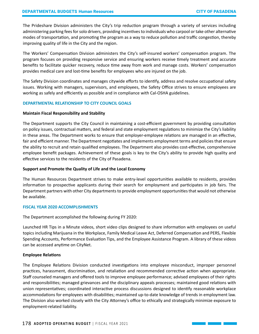The Prideshare Division administers the City's trip reduction program through a variety of services including administering parking fees for solo drivers, providing incentives to individuals who carpool or take other alternative modes of transportation, and promoting the program as a way to reduce pollution and traffic congestion, thereby improving quality of life in the City and the region.

The Workers' Compensation Division administers the City's self-insured workers' compensation program. The program focuses on providing responsive service and ensuring workers receive timely treatment and accurate benefits to facilitate quicker recovery, reduce time away from work and manage costs. Workers' compensation provides medical care and lost-time benefits for employees who are injured on the job.

The Safety Division coordinates and manages citywide efforts to identify, address and resolve occupational safety issues. Working with managers, supervisors, and employees, the Safety Office strives to ensure employees are working as safely and efficiently as possible and in compliance with Cal-OSHA guidelines.

#### **DEPARTMENTAL RELATIONSHIP TO CITY COUNCIL GOALS**

#### **Maintain Fiscal Responsibility and Stability**

The Department supports the City Council in maintaining a cost-efficient government by providing consultation on policy issues, contractual matters, and federal and state employment regulations to minimize the City's liability in these areas. The Department works to ensure that employer-employee relations are managed in an effective, fair and efficient manner. The Department negotiates and implements employment terms and policies that ensure the ability to recruit and retain qualified employees. The Department also provides cost-effective, comprehensive employee benefit packages. Achievement of these goals is key to the City's ability to provide high quality and effective services to the residents of the City of Pasadena.

#### **Support and Promote the Quality of Life and the Local Economy**

The Human Resources Department strives to make entry-level opportunities available to residents, provides information to prospective applicants during their search for employment and participates in job fairs. The Department partners with other City departments to provide employment opportunities that would not otherwise be available.

#### **FISCAL YEAR 2020 ACCOMPLISHMENTS**

The Department accomplished the following during FY 2020:

Launched HR Tips in a Minute videos, short video clips designed to share information with employees on useful topics including Marijuana in the Workplace, Family Medical Leave Act, Deferred Compensation and PERS, Flexible Spending Accounts, Performance Evaluation Tips, and the Employee Assistance Program. A library of these videos can be accessed anytime on CityNet.

#### **Employee Relations**

The Employee Relations Division conducted investigations into employee misconduct, improper personnel practices, harassment, discrimination, and retaliation and recommended corrective action when appropriate. Staff counseled managers and offered tools to improve employee performance; advised employees of their rights and responsibilities; managed grievances and the disciplinary appeals processes; maintained good relations with union representatives; coordinated interactive process discussions designed to identify reasonable workplace accommodations for employees with disabilities; maintained up-to-date knowledge of trends in employment law. The Division also worked closely with the City Attorney's office to ethically and strategically minimize exposure to employment-related liability.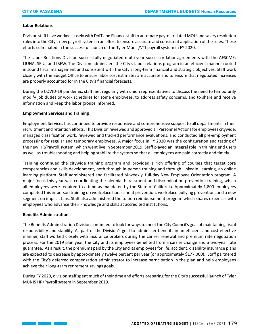#### **Labor Relations**

Division staff have worked closely with DoIT and Finance staff to automate payroll-related MOU and salary resolution rules into the City's new payroll system in an effort to ensure accurate and consistent application of the rules. These efforts culminated in the successful launch of the Tyler Munis/VTI payroll system in FY 2020.

The Labor Relations Division successfully negotiated multi-year successor labor agreements with the AFSCME, LIUNA, SEIU, and IBEW. The Division administers the City's labor relations program in an efficient manner rooted in sound fiscal management and consistent with the City's long-term financial and strategic objectives. Staff work closely with the Budget Office to ensure labor cost estimates are accurate and to ensure that negotiated increases are properly accounted for in the City's financial forecasts.

During the COVID-19 pandemic, staff met regularly with union representatives to discuss the need to temporarily modify job duties or work schedules for some employees, to address safety concerns, and to share and receive information and keep the labor groups informed.

#### **Employment Services and Training**

Employment Services has continued to provide responsive and comprehensive support to all departments in their recruitment and retention efforts. This Division reviewed and approved all Personnel Actions for employees citywide, managed classification work, reviewed and tracked performance evaluations, and conducted all pre-employment processing for regular and temporary employees. A major focus in FY 2020 was the configuration and testing of the new HR/Payroll system, which went live in September 2019. Staff played an integral role in training end users as well as troubleshooting and helping stabilize the system so that all employees are paid correctly and timely.

Training continued the citywide training program and provided a rich offering of courses that target core competencies and skills development, both through in-person training and through LinkedIn Learning, an online learning platform. Staff administered and facilitated bi-weekly, full-day New Employee Orientation program. A major focus this year was coordinating the biennial harassment and discrimination prevention training, which all employees were required to attend as mandated by the State of California. Approximately 1,800 employees completed this in-person training on workplace harassment prevention, workplace bullying prevention, and a new segment on implicit bias. Staff also administered the tuition reimbursement program which shares expenses with employees who advance their knowledge and skills at accredited institutions.

## **Benefits Administration**

 $\mathcal{L}(\mathcal{L}^{\text{max}}_{\mathcal{L}})$ 

The Benefits Administration Division continued to look for ways to meet the City Council's goal of maintaining fiscal responsibility and stability. As part of the Division's goal to administer benefits in an efficient and cost-effective manner, staff worked closely with insurance brokers during the carrier renewal and premium rate negotiation process. For the 2019 plan year, the City and its employees benefited from a carrier change and a two-year rate guarantee. As a result, the premiums paid by the City and its employees for life, accident, disability insurance plans are expected to decrease by approximately twelve percent per year (or approximately \$177,000). Staff partnered with the City's deferred compensation administrator to increase participation in the plan and help employees achieve their long-term retirement savings goals.

During FY 2020, division staff spent much of their time and efforts preparing for the City's successful launch of Tyler MUNIS HR/Payroll system in September 2019.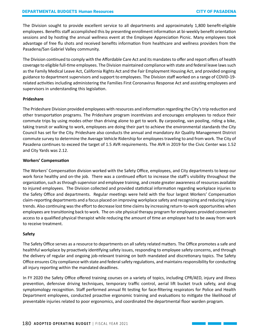The Division sought to provide excellent service to all departments and approximately 1,800 benefit-eligible employees. Benefits staff accomplished this by presenting enrollment information at bi-weekly benefit orientation sessions and by hosting the annual wellness event at the Employee Appreciation Picnic. Many employees took advantage of free flu shots and received benefits information from healthcare and wellness providers from the Pasadena/San Gabriel Valley community.

The Division continued to comply with the Affordable Care Act and its mandates to offer and report offers of health coverage to eligible full-time employees. The Division maintained compliance with state and federal leave laws such as the Family Medical Leave Act, California Rights Act and the Fair Employment Housing Act, and provided ongoing guidance to department supervisors and support to employees. The Division staff worked on a range of COVID-19 related activities including administering the Families First Coronavirus Response Act and assisting employees and supervisors in understanding this legislation.

#### **Prideshare**

The Prideshare Division provided employees with resources and information regarding the City's trip reduction and other transportation programs. The Prideshare program incentivizes and encourages employees to reduce their commute trips by using modes other than driving alone to get to work. By carpooling, van pooling, riding a bike, taking transit or walking to work, employees are doing their part to achieve the environmental standards the City Council has set for the City. Prideshare also conducts the annual and mandatory Air Quality Management District commute survey to determine the Average Vehicle Ridership for employees traveling to and from work. The City of Pasadena continues to exceed the target of 1.5 AVR requirements. The AVR in 2019 for the Civic Center was 1.52 and City Yards was 2.12.

#### **Workers' Compensation**

The Workers' Compensation division worked with the Safety Office, employees, and City departments to keep our work force healthy and on-the job. There was a continued effort to increase the staff's visibility throughout the organization, such as through supervisor and employee training, and create greater awareness of resources available to injured employees. The Division collected and provided statistical information regarding workplace injuries to the Safety Office and departments. Regular meetings were held with the four largest Workers' Compensation claim-reporting departments and a focus placed on improving workplace safety and recognizing and reducing injury trends. Also continuing was the effort to decrease lost time claims by increasing return-to-work opportunities when employees are transitioning back to work. The on-site physical therapy program for employees provided convenient access to a qualified physical therapist while reducing the amount of time an employee had to be away from work to receive treatment.

## **Safety**

The Safety Office serves as a resource to departments on all safety related matters. The Office promotes a safe and healthful workplace by proactively identifying safety issues, responding to employee safety concerns, and through the delivery of regular and ongoing job-relevant training on both mandated and discretionary topics. The Safety Office ensures City compliance with state and federal safety regulations, and maintains responsibility for conducting all injury reporting within the mandated deadlines.

In FY 2020 the Safety Office offered training courses on a variety of topics, including CPR/AED, injury and illness prevention, defensive driving techniques, temporary traffic control, aerial lift bucket truck safety, and drug symptomology recognition. Staff performed annual fit testing for face-filtering respirators for Police and Health Department employees, conducted proactive ergonomic training and evaluations to mitigate the likelihood of preventable injuries related to poor ergonomics, and coordinated the departmental floor warden program.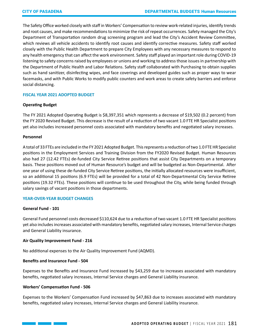The Safety Office worked closely with staff in Workers' Compensation to review work-related injuries, identify trends and root causes, and make recommendations to minimize the risk of repeat occurrences. Safety managed the City's Department of Transportation random drug screening program and lead the City's Accident Review Committee, which reviews all vehicle accidents to identify root causes and identify corrective measures. Safety staff worked closely with the Public Health Department to prepare City Employees with any necessary measures to respond to any health emergency that can affect the work environment. Safety staff played an important role during COVID-19 listening to safety concerns raised by employees or unions and working to address those issues in partnership with the Department of Public Health and Labor Relations. Safety staff collaborated with Purchasing to obtain supplies such as hand sanitizer, disinfecting wipes, and face coverings and developed guides such as proper ways to wear facemasks, and with Public Works to modify public counters and work areas to create safety barriers and enforce social distancing.

#### **FISCAL YEAR 2021 ADOPTED BUDGET**

#### **Operating Budget**

The FY 2021 Adopted Operating Budget is \$8,397,351 which represents a decrease of \$19,502 (0.2 percent) from the FY 2020 Revised Budget. This decrease is the result of a reduction of two vacant 1.0 FTE HR Specialist positions yet also includes increased personnel costs associated with mandatory benefits and negotiated salary increases.

#### **Personnel**

A total of 33 FTEs are included in the FY 2021 Adopted Budget. This represents a reduction of two 1.0 FTE HR Specialist positions in the Employment Services and Training Division from the FY2020 Revised Budget. Human Resources also had 27 (12.42 FTEs) de-funded City Service Retiree positions that assist City Departments on a temporary basis. These positions moved out of Human Resource's budget and will be budgeted as Non-Departmental. After one year of using these de-funded City Service Retiree positions, the initially allocated resources were insufficient, so an additional 15 positions (6.9 FTEs) will be provided for a total of 42 Non-Departmental City Service Retiree positions (19.32 FTEs). These positions will continue to be used throughout the City, while being funded through salary savings of vacant positions in those departments.

#### **YEAR-OVER-YEAR BUDGET CHANGES**

#### **General Fund - 101**

General Fund personnel costs decreased \$110,624 due to a reduction of two vacant 1.0 FTE HR Specialist positions yet also includes increases associated with mandatory benefits, negotiated salary increases, Internal Service charges and General Liability insurance.

#### **Air Quality Improvement Fund - 216**

No additional expenses to the Air Quality Improvement Fund (AQMD).

#### **Benefits and Insurance Fund - 504**

Expenses to the Benefits and Insurance Fund increased by \$43,259 due to increases associated with mandatory benefits, negotiated salary increases, Internal Service charges and General Liability insurance.

#### **Workers' Compensation Fund - 506**

Expenses to the Workers' Compensation Fund increased by \$47,863 due to increases associated with mandatory benefits, negotiated salary increases, Internal Service charges and General Liability insurance.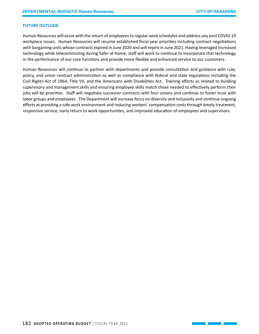#### **FUTURE OUTLOOK**

Human Resources will assist with the return of employees to regular work schedules and address any post COVID-19 workplace issues. Human Resources will resume established fiscal year priorities including contract negotiations with bargaining units whose contracts expired in June 2020 and will expire in June 2021. Having leveraged increased technology while telecommuting during Safer at Home, staff will work to continue to incorporate that technology in the performance of our core functions and provide more flexible and enhanced service to our customers.

Human Resources will continue to partner with departments and provide consultation and guidance with rule, policy, and union contract administration as well as compliance with federal and state regulations including the Civil Rights Act of 1964, Title VII, and the Americans with Disabilities Act. Training efforts as related to building supervisory and management skills and ensuring employee skills match those needed to effectively perform their jobs will be priorities. Staff will negotiate successor contracts with four unions and continue to foster trust with labor groups and employees. The Department will increase focus on diversity and inclusivity and continue ongoing efforts at providing a safe work environment and reducing workers' compensation costs through timely treatment, responsive service, early return to work opportunities, and improved education of employees and supervisors.